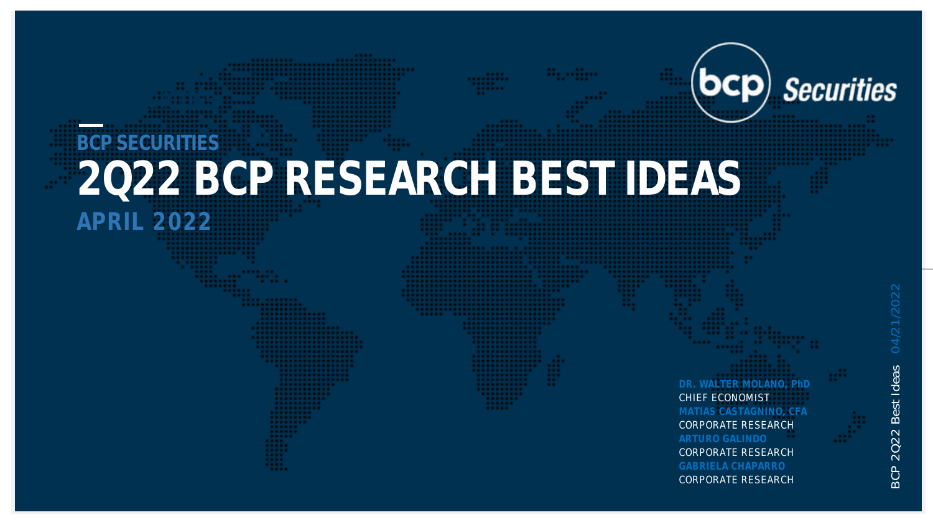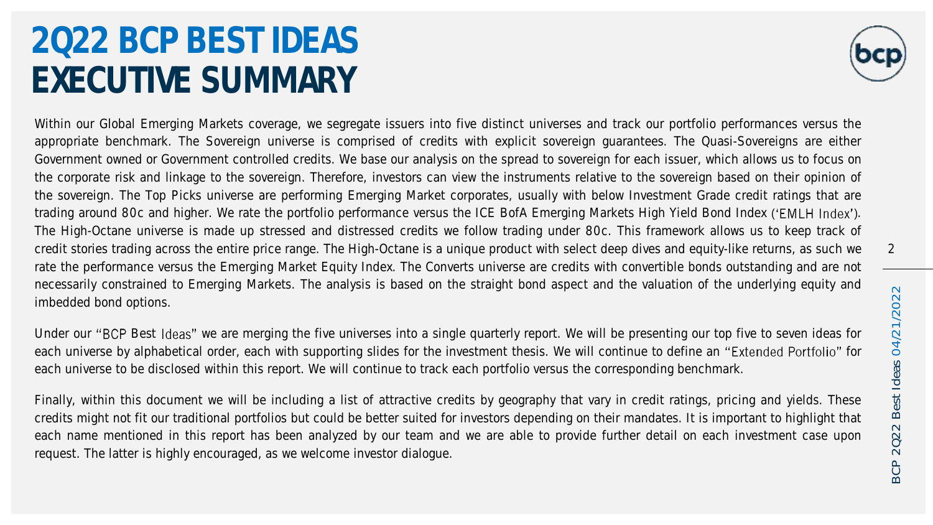### 2Q22 BCP BEST IDEAS EXECUTIVE SUMMARY



Within our Global Emerging Markets coverage, we segregate issuers into five distinct universes and track our portfolio performances versus the appropriate benchmark. The Sovereign universe is comprised of credits with explicit sovereign guarantees. The Quasi-Sovereigns are either Government owned or Government controlled credits. We base our analysis on the spread to sovereign for each issuer, which allows us to focus on the corporate risk and linkage to the sovereign. Therefore, investors can view the instruments relative to the sovereign based on their opinion of the sovereign. The Top Picks universe are performing Emerging Market corporates, usually with below Investment Grade credit ratings that are trading around 80c and higher. We rate the portfolio performance versus the ICE BofA Emerging Markets High Yield Bond Index ('EMLH Index'). The High-Octane universe is made up stressed and distressed credits we follow trading under 80c. This framework allows us to keep track of credit stories trading across the entire price range. The High-Octane is a unique product with select deep dives and equity-like returns, as such we rate the performance versus the Emerging Market Equity Index. The Converts universe are credits with convertible bonds outstanding and are not necessarily constrained to Emerging Markets. The analysis is based on the straight bond aspect and the valuation of the underlying equity and imbedded bond options.

Under our "BCP Best Ideas" we are merging the five universes into a single quarterly report. We will be presenting our top five to seven ideas for each universe by alphabetical order, each with supporting slides for the investment thesis. We will continue to define an "Extended Portfolio" for each universe to be disclosed within this report. We will continue to track each portfolio versus the corresponding benchmark.

Finally, within this document we will be including a list of attractive credits by geography that vary in credit ratings, pricing and yields. These credits might not fit our traditional portfolios but could be better suited for investors depending on their mandates. It is important to highlight that each name mentioned in this report has been analyzed by our team and we are able to provide further detail on each investment case upon request. The latter is highly encouraged, as we welcome investor dialogue.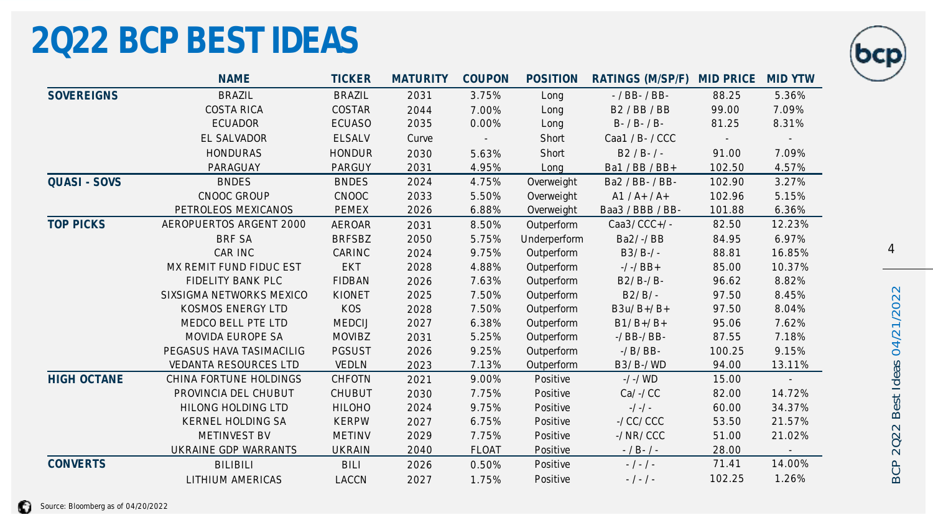### 2Q22 BCP BEST IDEAS



|                     | <b>NAME</b>                  | <b>TICKER</b> | <b>MATURITY</b> | COUPON | <b>POSITION</b> | RATINGS (M/SP/F)      | <b>MID PRICE</b> | <b>MID YTW</b> |
|---------------------|------------------------------|---------------|-----------------|--------|-----------------|-----------------------|------------------|----------------|
| <b>SOVEREIGNS</b>   | <b>BRAZIL</b>                | <b>BRAZIL</b> | 2031            | 3.75%  | Long            | $-$ / BB $-$ / BB $-$ | 88.25            | 5.36%          |
|                     | <b>COSTA RICA</b>            | COSTAR        | 2044            | 7.00%  | Long            | <b>B2/BB/BB</b>       | 99.00            | 7.09%          |
|                     | <b>ECUADOR</b>               | <b>ECUASO</b> | 2035            | 0.00%  | Long            | $B - / B - / B -$     | 81.25            | 8.31%          |
|                     | EL SALVADOR                  | <b>ELSALV</b> | Curve           |        | Short           | Caa1 / B- / CCC       |                  |                |
|                     | <b>HONDURAS</b>              | <b>HONDUR</b> | 2030            | 5.63%  | Short           | $B2 / B - / -$        | 91.00            | 7.09%          |
|                     | PARAGUAY                     | PARGUY        | 2031            | 4.95%  | Long            | Ba1 / BB / BB+        | 102.50           | 4.57%          |
| <b>QUASI - SOVS</b> | <b>BNDES</b>                 | <b>BNDES</b>  | 2024            | 4.75%  | Overweight      | Ba2 / BB- / BB-       | 102.90           | 3.27%          |
|                     | CNOOC GROUP                  | CNOOC         | 2033            | 5.50%  | Overweight      | $A1 / A+ / A+$        | 102.96           | 5.15%          |
|                     | PETROLEOS MEXICANOS          | <b>PEMEX</b>  | 2026            | 6.88%  | Overweight      | Baa3 / BBB / BB-      | 101.88           | 6.36%          |
| <b>TOP PICKS</b>    | AEROPUERTOS ARGENT 2000      | <b>AEROAR</b> | 2031            | 8.50%  | Outperform      | Caa3/ CCC+/ -         | 82.50            | 12.23%         |
|                     | <b>BRF SA</b>                | <b>BRFSBZ</b> | 2050            | 5.75%  | Underperform    | Ba2/ -/ BB            | 84.95            | 6.97%          |
|                     | CAR INC                      | CARINC        | 2024            | 9.75%  | Outperform      | $B3/B-/-$             | 88.81            | 16.85%         |
|                     | MX REMIT FUND FIDUC EST      | <b>EKT</b>    | 2028            | 4.88%  | Outperform      | $-/-/$ BB+            | 85.00            | 10.37%         |
|                     | FIDELITY BANK PLC            | <b>FIDBAN</b> | 2026            | 7.63%  | Outperform      | B2/ B-/ B-            | 96.62            | 8.82%          |
|                     | SIXSIGMA NETWORKS MEXICO     | KIONET        | 2025            | 7.50%  | Outperform      | $B2/B/ -$             | 97.50            | 8.45%          |
|                     | KOSMOS ENERGY LTD            | KOS           | 2028            | 7.50%  | Outperform      | B3u/ $B+/B+$          | 97.50            | 8.04%          |
|                     | MEDCO BELL PTE LTD           | <b>MEDCIJ</b> | 2027            | 6.38%  | Outperform      | $B1/B+/B+$            | 95.06            | 7.62%          |
|                     | MOVIDA EUROPE SA             | <b>MOVIBZ</b> | 2031            | 5.25%  | Outperform      | $-$ / BB $-$ / BB $-$ | 87.55            | 7.18%          |
|                     | PEGASUS HAVA TASIMACILIG     | <b>PGSUST</b> | 2026            | 9.25%  | Outperform      | $-$ / B/ BB $-$       | 100.25           | 9.15%          |
|                     | <b>VEDANTA RESOURCES LTD</b> | <b>VEDLN</b>  | 2023            | 7.13%  | Outperform      | B3/ B-/ WD            | 94.00            | 13.11%         |
| <b>HIGH OCTANE</b>  | CHINA FORTUNE HOLDINGS       | CHFOTN        | 2021            | 9.00%  | Positive        | $-/-/WD$              | 15.00            | $\bar{a}$      |
|                     | PROVINCIA DEL CHUBUT         | <b>CHUBUT</b> | 2030            | 7.75%  | Positive        | $Ca/ -/ CC$           | 82.00            | 14.72%         |
|                     | HILONG HOLDING LTD           | <b>HILOHO</b> | 2024            | 9.75%  | Positive        | $-/-$                 | 60.00            | 34.37%         |
|                     | KERNEL HOLDING SA            | <b>KERPW</b>  | 2027            | 6.75%  | Positive        | $-1$ CCI CCC          | 53.50            | 21.57%         |
|                     | METINVEST BV                 | <b>METINV</b> | 2029            | 7.75%  | Positive        | $-/$ NR/CCC           | 51.00            | 21.02%         |
|                     | UKRAINE GDP WARRANTS         | <b>UKRAIN</b> | 2040            | FLOAT  | Positive        | $- / B - / -$         | 28.00            |                |
| CONVERTS            | <b>BILIBILI</b>              | <b>BILI</b>   | 2026            | 0.50%  | Positive        | $-$ / - / -           | 71.41            | 14.00%         |
|                     | <b>LITHIUM AMERICAS</b>      | LACCN         | 2027            | 1.75%  | Positive        | $-$ / - / -           | 102.25           | 1.26%          |

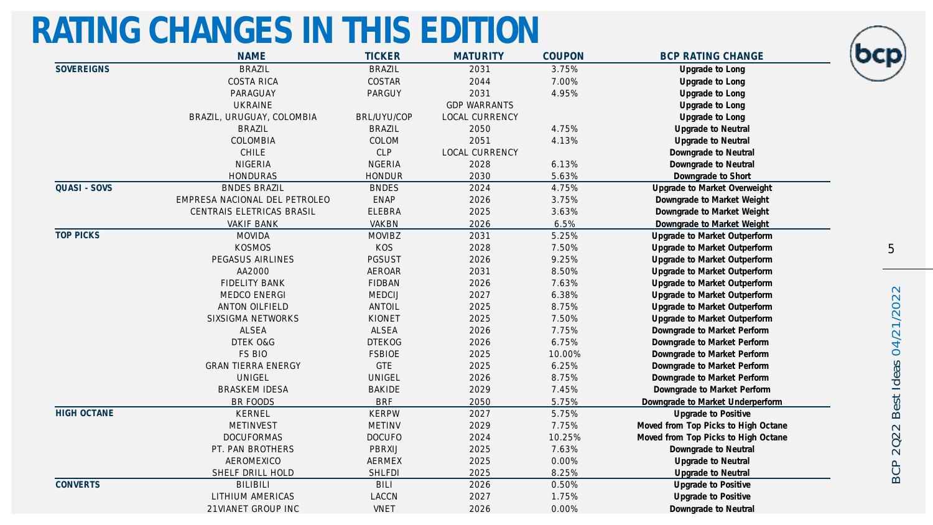### RATING CHANGES IN THIS EDITION

|                     | <b>NAME</b>                   | <b>TICKER</b> | <b>MATURITY</b>     | COUPON | <b>BCP RATING CHANGE</b>            |
|---------------------|-------------------------------|---------------|---------------------|--------|-------------------------------------|
| SOVEREIGNS          | <b>BRAZIL</b>                 | <b>BRAZIL</b> | 2031                | 3.75%  | Upgrade to Long                     |
|                     | <b>COSTA RICA</b>             | COSTAR        | 2044                | 7.00%  | Upgrade to Long                     |
|                     | PARAGUAY                      | PARGUY        | 2031                | 4.95%  | Upgrade to Long                     |
|                     | <b>UKRAINE</b>                |               | <b>GDP WARRANTS</b> |        | Upgrade to Long                     |
|                     | BRAZIL, URUGUAY, COLOMBIA     | BRL/UYU/COP   | LOCAL CURRENCY      |        | Upgrade to Long                     |
|                     | <b>BRAZIL</b>                 | <b>BRAZIL</b> | 2050                | 4.75%  | Upgrade to Neutral                  |
|                     | COLOMBIA                      | COLOM         | 2051                | 4.13%  | Upgrade to Neutral                  |
|                     | CHILE                         | CLP           | LOCAL CURRENCY      |        | Downgrade to Neutral                |
|                     | <b>NIGERIA</b>                | <b>NGERIA</b> | 2028                | 6.13%  | Downgrade to Neutral                |
|                     | <b>HONDURAS</b>               | <b>HONDUR</b> | 2030                | 5.63%  | Downgrade to Short                  |
| <b>QUASI - SOVS</b> | <b>BNDES BRAZIL</b>           | <b>BNDES</b>  | 2024                | 4.75%  | Upgrade to Market Overweight        |
|                     | EMPRESA NACIONAL DEL PETROLEO | <b>ENAP</b>   | 2026                | 3.75%  | Downgrade to Market Weight          |
|                     | CENTRAIS ELETRICAS BRASIL     | <b>ELEBRA</b> | 2025                | 3.63%  | Downgrade to Market Weight          |
|                     | <b>VAKIF BANK</b>             | <b>VAKBN</b>  | 2026                | 6.5%   | Downgrade to Market Weight          |
| <b>TOP PICKS</b>    | <b>MOVIDA</b>                 | <b>MOVIBZ</b> | 2031                | 5.25%  | Upgrade to Market Outperform        |
|                     | <b>KOSMOS</b>                 | <b>KOS</b>    | 2028                | 7.50%  | Upgrade to Market Outperform        |
|                     | PEGASUS AIRLINES              | <b>PGSUST</b> | 2026                | 9.25%  | Upgrade to Market Outperform        |
|                     | AA2000                        | <b>AEROAR</b> | 2031                | 8.50%  | Upgrade to Market Outperform        |
|                     | <b>FIDELITY BANK</b>          | <b>FIDBAN</b> | 2026                | 7.63%  | Upgrade to Market Outperform        |
|                     | MEDCO ENERGI                  | MEDCIJ        | 2027                | 6.38%  | Upgrade to Market Outperform        |
|                     | ANTON OILFIELD                | ANTOIL        | 2025                | 8.75%  | Upgrade to Market Outperform        |
|                     | SIXSIGMA NETWORKS             | KIONET        | 2025                | 7.50%  | Upgrade to Market Outperform        |
|                     | ALSEA                         | ALSEA         | 2026                | 7.75%  | Downgrade to Market Perform         |
|                     | DTEK O&G                      | <b>DTEKOG</b> | 2026                | 6.75%  | Downgrade to Market Perform         |
|                     | FS BIO                        | <b>FSBIOE</b> | 2025                | 10.00% | Downgrade to Market Perform         |
|                     | <b>GRAN TIERRA ENERGY</b>     | <b>GTE</b>    | 2025                | 6.25%  | Downgrade to Market Perform         |
|                     | UNIGEL                        | UNIGEL        | 2026                | 8.75%  | Downgrade to Market Perform         |
|                     | <b>BRASKEM IDESA</b>          | <b>BAKIDE</b> | 2029                | 7.45%  | Downgrade to Market Perform         |
|                     | BR FOODS                      | <b>BRF</b>    | 2050                | 5.75%  | Downgrade to Market Underperform    |
| HIGH OCTANE         | KERNEL                        | <b>KERPW</b>  | 2027                | 5.75%  | Upgrade to Positive                 |
|                     | METINVEST                     | <b>METINV</b> | 2029                | 7.75%  | Moved from Top Picks to High Octane |
|                     | <b>DOCUFORMAS</b>             | <b>DOCUFO</b> | 2024                | 10.25% | Moved from Top Picks to High Octane |
|                     | PT. PAN BROTHERS              | PBRXIJ        | 2025                | 7.63%  | Downgrade to Neutral                |
|                     | AEROMEXICO                    | <b>AERMEX</b> | 2025                | 0.00%  | Upgrade to Neutral                  |
|                     | SHELF DRILL HOLD              | <b>SHLFDI</b> | 2025                | 8.25%  | Upgrade to Neutral                  |
| <b>CONVERTS</b>     | <b>BILIBILI</b>               | <b>BILI</b>   | 2026                | 0.50%  | Upgrade to Positive                 |
|                     | LITHIUM AMERICAS              | LACCN         | 2027                | 1.75%  | Upgrade to Positive                 |
|                     | 21VIANET GROUP INC            | VNET          | 2026                | 0.00%  | Downgrade to Neutral                |

5

ΣC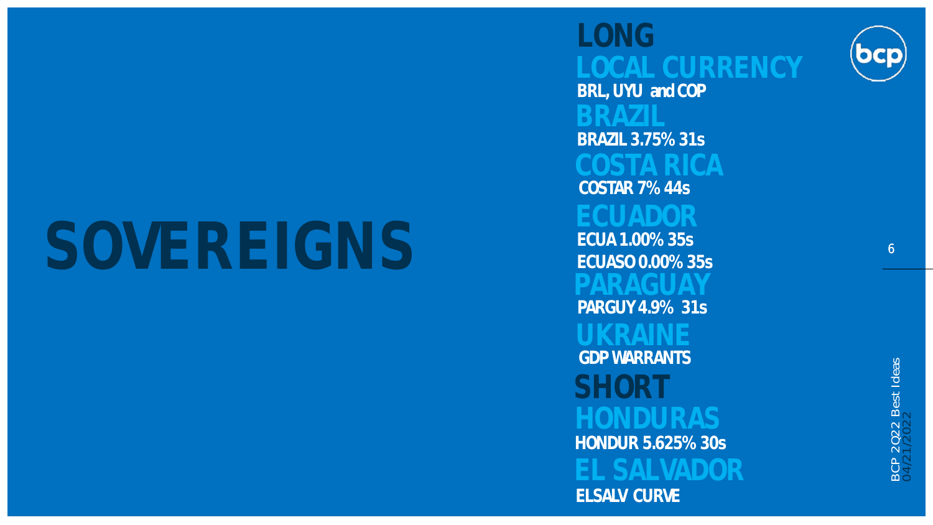# SOVEREIGNS ECUA 1.00% 35s

ECUASO 0.00% 35s LONG SHORT<sub>I</sub> **HONDURAS** ELSALV CURVE GDP WARRANTS HONDUR 5.625% 30s COSTAR 7% 44s BRL, UYU and COP BRAZIL 3.75% 31s PARGUY 4.9% 31s

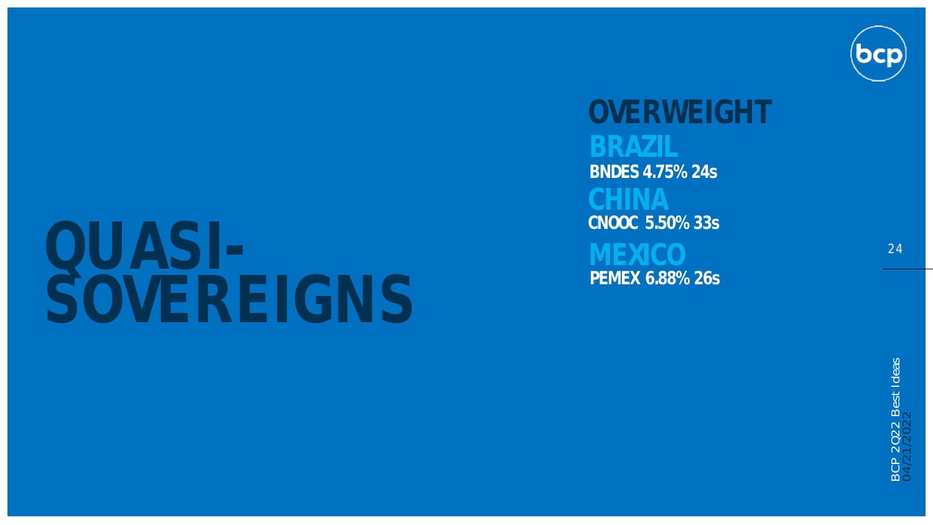

### QUASI -<br>-<br>-SOVEREIGNS

CNOOC 5.50% 33s BNDES 4.75% 24s PEMEX 6.88% 26s OVERWEIGHT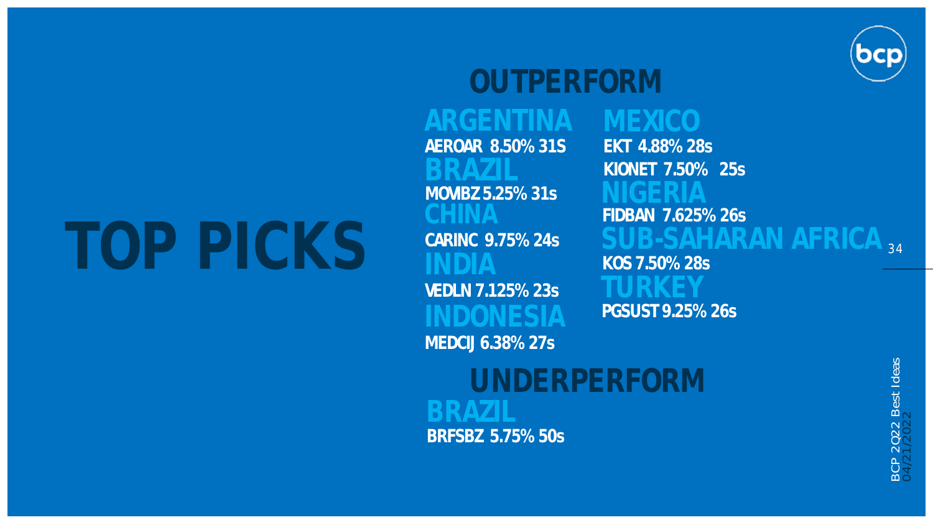# TOP PICKS CARINC 9.75% 24s

BRAZIL MOVIBZ 5.25% 31s AEROAR 8.50% 31S OUTPERFORM VEDLN 7.125% 23s MEDCIJ 6.38% 27s

UNDERPERFORM BRFSBZ 5.75% 50s

 $\rm SUB$ -SAHARAN AFRICA  $_{34}$ PGSUST 9.25% 26s NIGERIA FIDBAN 7.625% 26s EKT 4.88% 28s KIONET 7.50% 25s KOS 7.50% 28s

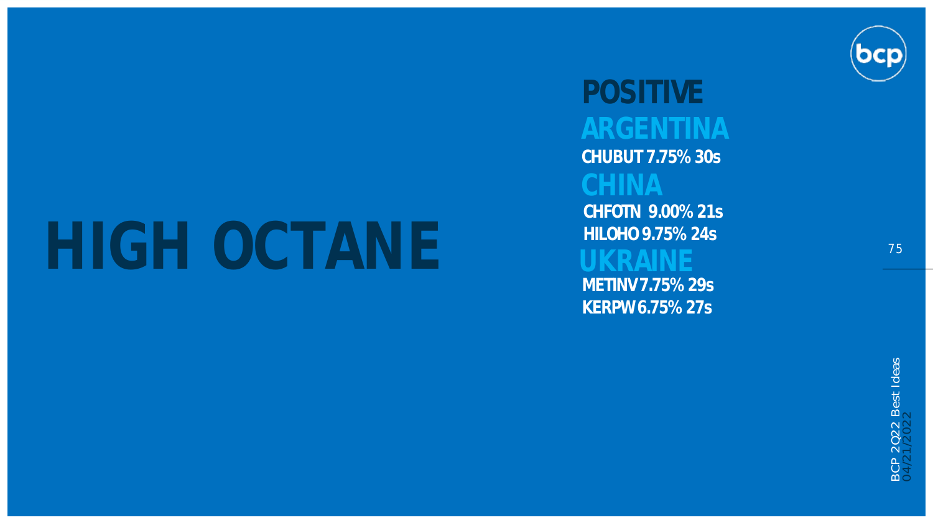# HIGH OCTANE

# POSITIVE

CHUBUT 7.75% 30s

CHFOTN 9.00% 21s HILOHO9.75% 24s METINV 7.75% 29s

KERPW 6.75% 27s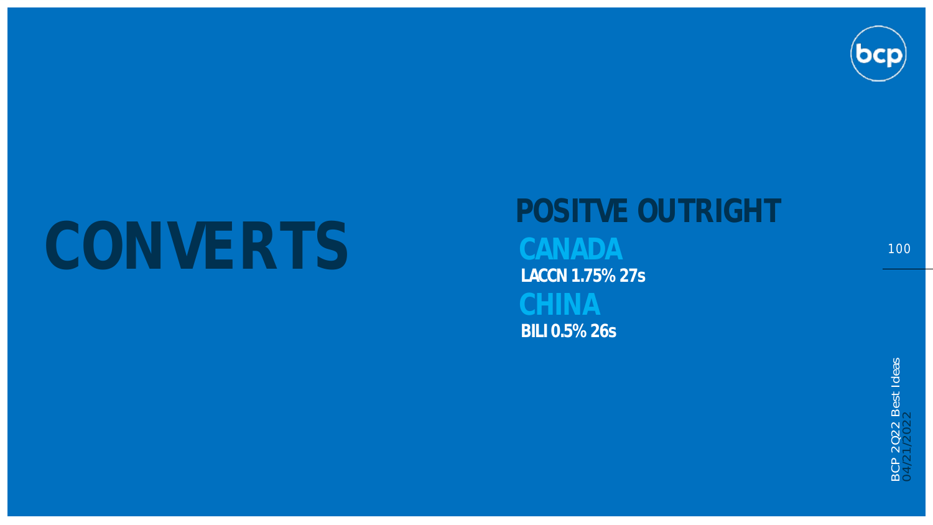

# CONVERTS

# POSITVE OUTRIGHT BILI 0.5% 26s LACCN 1.75% 27s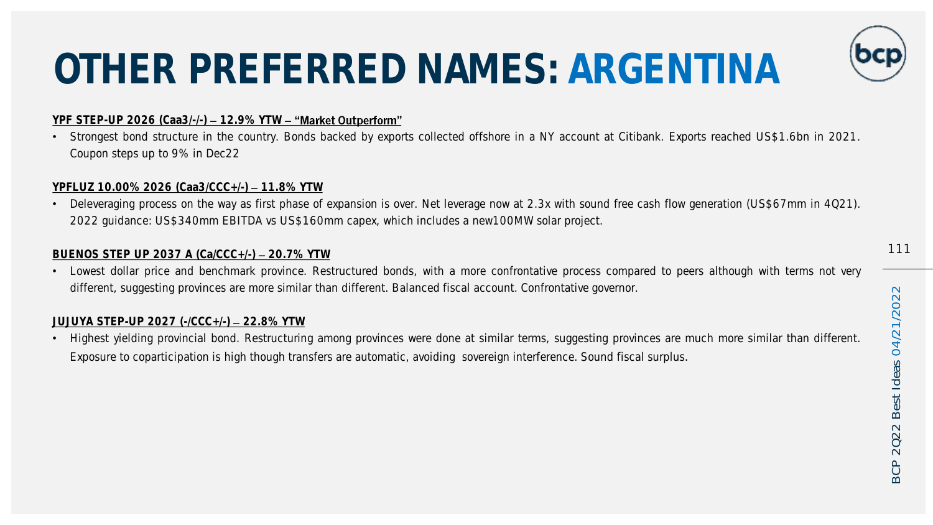# OTHER PREFERRED NAMES: ARGENTINA

#### YPF STEP-UP 2026 (Caa3/-/-) - 12.9% YTW - "Market Outperform"

• Strongest bond structure in the country. Bonds backed by exports collected offshore in a NY account at Citibank. Exports reached US\$1.6bn in 2021. Coupon steps up to 9% in Dec22

#### YPFLUZ 10.00% 2026 (Caa3/CCC+/-) - 11.8% YTW

• Deleveraging process on the way as first phase of expansion is over. Net leverage now at 2.3x with sound free cash flow generation (US\$67mm in 4Q21). 2022 guidance: US\$340mm EBITDA vs US\$160mm capex, which includes a new100MW solar project.

#### BUENOS STEP UP 2037 A  $(Ca/CC+f-)=$  20.7% YTW

• Lowest dollar price and benchmark province. Restructured bonds, with a more confrontative process compared to peers although with terms not very different, suggesting provinces are more similar than different. Balanced fiscal account. Confrontative governor.

#### JUJUYA STEP-UP 2027 (-/CCC+/-) 22.8% YTW

• Highest yielding provincial bond. Restructuring among provinces were done at similar terms, suggesting provinces are much more similar than different. Exposure to coparticipation is high though transfers are automatic, avoiding sovereign interference. Sound fiscal surplus.

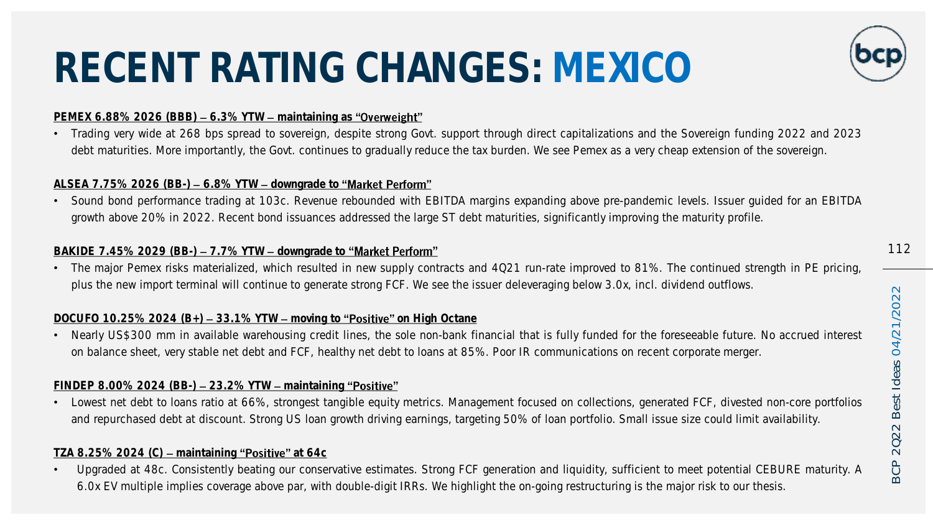# RECENT RATING CHANGES: MEXICO

#### PEMEX 6.88% 2026 (BBB)  $-6.3%$  YTW  $-$  maintaining as "Overweight"

• Trading very wide at 268 bps spread to sovereign, despite strong Govt. support through direct capitalizations and the Sovereign funding 2022 and 2023 debt maturities. More importantly, the Govt. continues to gradually reduce the tax burden. We see Pemex as a very cheap extension of the sovereign.

#### ALSEA 7.75% 2026 (BB-)  $-6.8\%$  YTW  $-$  downgrade to "Market Perform"

• Sound bond performance trading at 103c. Revenue rebounded with EBITDA margins expanding above pre-pandemic levels. Issuer guided for an EBITDA growth above 20% in 2022. Recent bond issuances addressed the large ST debt maturities, significantly improving the maturity profile.

#### BAKIDE 7.45% 2029 (BB-) - 7.7% YTW - downgrade to "Market Perform"

• The major Pemex risks materialized, which resulted in new supply contracts and 4Q21 run-rate improved to 81%. The continued strength in PE pricing, plus the new import terminal will continue to generate strong FCF. We see the issuer deleveraging below 3.0x, incl. dividend outflows.

#### DOCUFO 10.25% 2024  $(B<sub>+</sub>)$  – 33.1% YTW – moving to "Positive" on High Octane

• Nearly US\$300 mm in available warehousing credit lines, the sole non-bank financial that is fully funded for the foreseeable future. No accrued interest on balance sheet, very stable net debt and FCF, healthy net debt to loans at 85%. Poor IR communications on recent corporate merger.

#### $FINDEPEND$  8.00% 2024 (BB-)  $-$  23.2% YTW  $-$  maintaining "Positive"

• Lowest net debt to loans ratio at 66%, strongest tangible equity metrics. Management focused on collections, generated FCF, divested non-core portfolios and repurchased debt at discount. Strong US loan growth driving earnings, targeting 50% of loan portfolio. Small issue size could limit availability.

#### TZA 8.25% 2024 (C) - maintaining "Positive" at 64c

• Upgraded at 48c. Consistently beating our conservative estimates. Strong FCF generation and liquidity, sufficient to meet potential CEBURE maturity. A 6.0x EV multiple implies coverage above par, with double-digit IRRs. We highlight the on-going restructuring is the major risk to our thesis.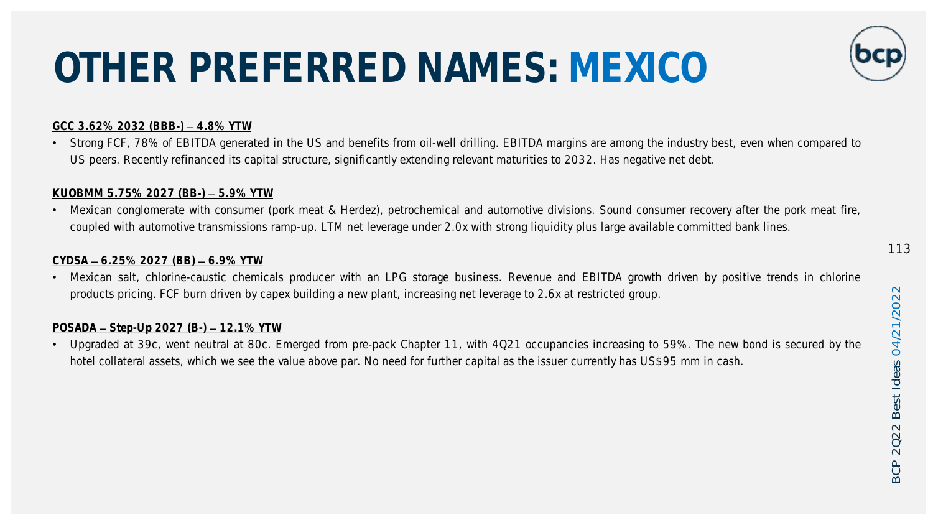# OTHER PREFERRED NAMES: MEXICO

#### GCC 3.62% 2032 (BBB-) 4.8% YTW

• Strong FCF, 78% of EBITDA generated in the US and benefits from oil-well drilling. EBITDA margins are among the industry best, even when compared to US peers. Recently refinanced its capital structure, significantly extending relevant maturities to 2032. Has negative net debt.

#### KUOBMM 5.75% 2027 (BB-) - 5.9% YTW

• Mexican conglomerate with consumer (pork meat & Herdez), petrochemical and automotive divisions. Sound consumer recovery after the pork meat fire, coupled with automotive transmissions ramp-up. LTM net leverage under 2.0x with strong liquidity plus large available committed bank lines.

#### $CYDSA - 6.25\% 2027 (BB) - 6.9\% YTW$

• Mexican salt, chlorine-caustic chemicals producer with an LPG storage business. Revenue and EBITDA growth driven by positive trends in chlorine products pricing. FCF burn driven by capex building a new plant, increasing net leverage to 2.6x at restricted group.

#### $POSADA - Step-Up 2027 (B-) - 12.1% YTW$

• Upgraded at 39c, went neutral at 80c. Emerged from pre-pack Chapter 11, with 4Q21 occupancies increasing to 59%. The new bond is secured by the hotel collateral assets, which we see the value above par. No need for further capital as the issuer currently has US\$95 mm in cash.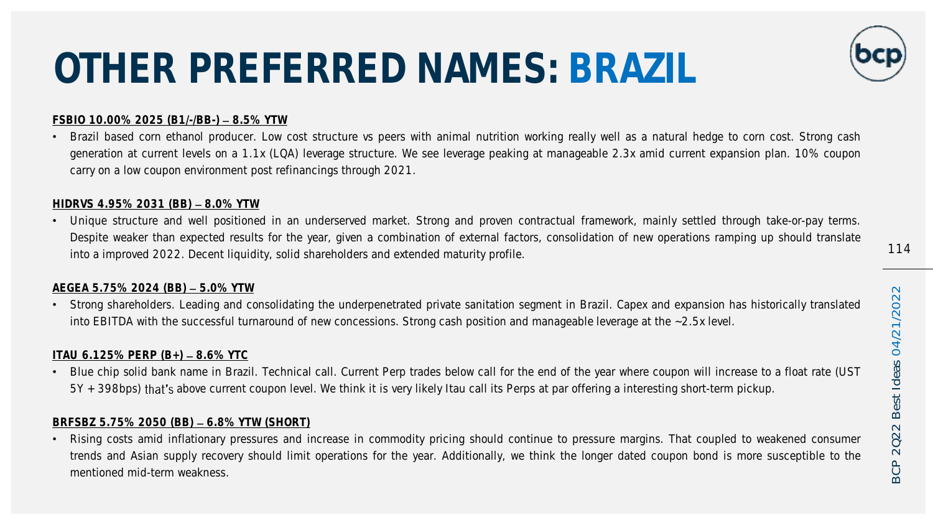# OTHER PREFERRED NAMES: BRAZIL

#### FSBIO 10.00% 2025 (B1/-/BB-) - 8.5% YTW

• Brazil based corn ethanol producer. Low cost structure vs peers with animal nutrition working really well as a natural hedge to corn cost. Strong cash generation at current levels on a 1.1x (LQA) leverage structure. We see leverage peaking at manageable 2.3x amid current expansion plan. 10% coupon carry on a low coupon environment post refinancings through 2021.

#### HIDRVS 4.95% 2031 (BB) - 8.0% YTW

• Unique structure and well positioned in an underserved market. Strong and proven contractual framework, mainly settled through take-or-pay terms. Despite weaker than expected results for the year, given a combination of external factors, consolidation of new operations ramping up should translate into a improved 2022. Decent liquidity, solid shareholders and extended maturity profile.

#### AEGEA 5.75% 2024 (BB) - 5.0% YTW

• Strong shareholders. Leading and consolidating the underpenetrated private sanitation segment in Brazil. Capex and expansion has historically translated into EBITDA with the successful turnaround of new concessions. Strong cash position and manageable leverage at the ~2.5x level.

#### ITAU 6.125% PERP  $(B_+)$  – 8.6% YTC

• Blue chip solid bank name in Brazil. Technical call. Current Perp trades below call for the end of the year where coupon will increase to a float rate (UST 5Y + 398bps) that's above current coupon level. We think it is very likely Itau call its Perps at par offering a interesting short-term pickup.

#### BRFSBZ 5.75% 2050 (BB) - 6.8% YTW (SHORT)

• Rising costs amid inflationary pressures and increase in commodity pricing should continue to pressure margins. That coupled to weakened consumer trends and Asian supply recovery should limit operations for the year. Additionally, we think the longer dated coupon bond is more susceptible to the mentioned mid-term weakness.

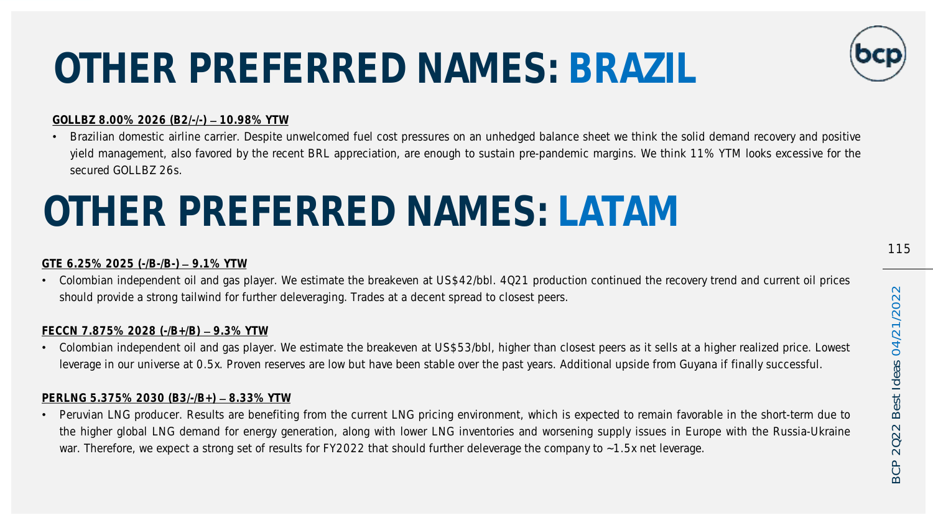# OTHER PREFERRED NAMES: BRAZIL

#### GOLLBZ 8.00% 2026 (B2/-/-) - 10.98% YTW

• Brazilian domestic airline carrier. Despite unwelcomed fuel cost pressures on an unhedged balance sheet we think the solid demand recovery and positive yield management, also favored by the recent BRL appreciation, are enough to sustain pre-pandemic margins. We think 11% YTM looks excessive for the secured GOLLBZ 26s.

## OTHER PREFERRED NAMES: LATAM

#### GTF  $6.25\%$  2025 ( $-B$ -/B $-$ ) – 9.1% YTW

• Colombian independent oil and gas player. We estimate the breakeven at US\$42/bbl. 4Q21 production continued the recovery trend and current oil prices should provide a strong tailwind for further deleveraging. Trades at a decent spread to closest peers.

#### FECCN 7.875% 2028  $(-/B+/B)$  – 9.3% YTW

• Colombian independent oil and gas player. We estimate the breakeven at US\$53/bbl, higher than closest peers as it sells at a higher realized price. Lowest leverage in our universe at 0.5x. Proven reserves are low but have been stable over the past years. Additional upside from Guyana if finally successful.

#### PERLNG  $5.375\%$  2030 (B3/-/B+) - 8.33% YTW

• Peruvian LNG producer. Results are benefiting from the current LNG pricing environment, which is expected to remain favorable in the short-term due to the higher global LNG demand for energy generation, along with lower LNG inventories and worsening supply issues in Europe with the Russia-Ukraine war. Therefore, we expect a strong set of results for FY2022 that should further deleverage the company to ~1.5x net leverage.

2022

**BCP** 

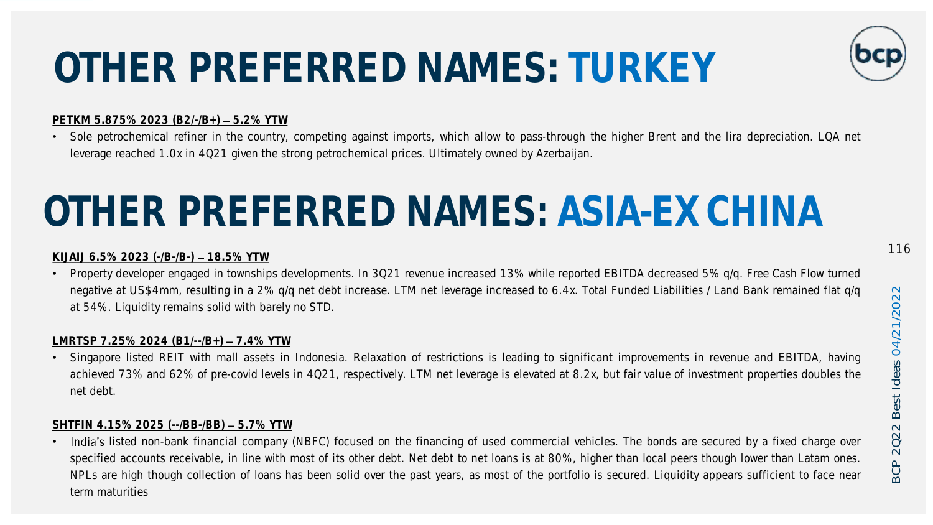# OTHER PREFERRED NAMES: TURKEY

#### PETKM 5.875% 2023 (B2/-/B+) - 5.2% YTW

• Sole petrochemical refiner in the country, competing against imports, which allow to pass-through the higher Brent and the lira depreciation. LQA net leverage reached 1.0x in 4Q21 given the strong petrochemical prices. Ultimately owned by Azerbaijan.

## OTHER PREFERRED NAMES: ASIA-EX CHINA

#### KIJAIJ 6.5% 2023 ( $-B$ -/B $-$ ) – 18.5% YTW

• Property developer engaged in townships developments. In 3Q21 revenue increased 13% while reported EBITDA decreased 5% q/q. Free Cash Flow turned negative at US\$4mm, resulting in a 2% q/q net debt increase. LTM net leverage increased to 6.4x. Total Funded Liabilities / Land Bank remained flat q/q at 54%. Liquidity remains solid with barely no STD.

#### LMRTSP 7.25% 2024 (B1/--/B+)  $-7.4\%$  YTW

• Singapore listed REIT with mall assets in Indonesia. Relaxation of restrictions is leading to significant improvements in revenue and EBITDA, having achieved 73% and 62% of pre-covid levels in 4Q21, respectively. LTM net leverage is elevated at 8.2x, but fair value of investment properties doubles the net debt.

#### SHTFIN 4.15% 2025 (--/BB-/BB) - 5.7% YTW

• India's listed non-bank financial company (NBFC) focused on the financing of used commercial vehicles. The bonds are secured by a fixed charge over specified accounts receivable, in line with most of its other debt. Net debt to net loans is at 80%, higher than local peers though lower than Latam ones. NPLs are high though collection of loans has been solid over the past years, as most of the portfolio is secured. Liquidity appears sufficient to face near term maturities

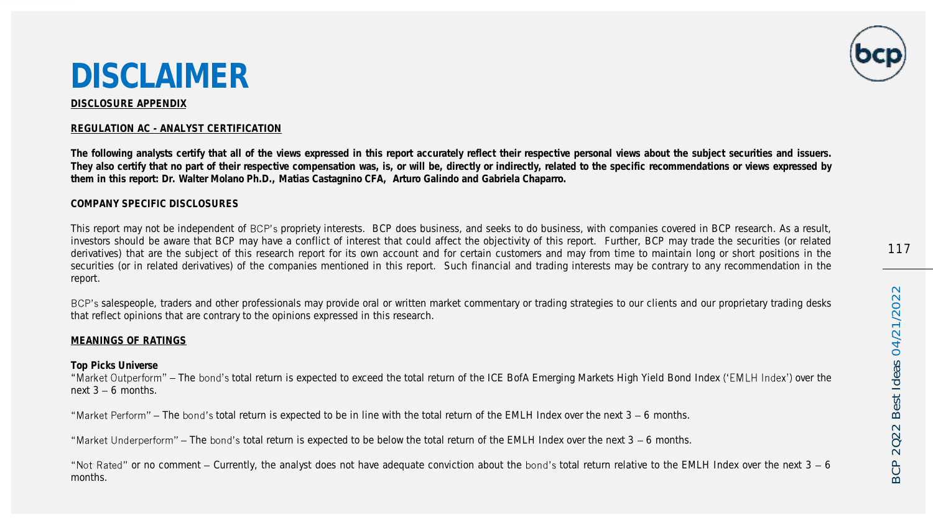117

### DISCLAIMER

#### DISCLOSURE APPENDIX

#### REGULATION AC - ANALYST CERTIFICATION

The following analysts certify that all of the views expressed in this report accurately reflect their respective personal views about the subject securities and issuers. They also certify that no part of their respective compensation was, is, or will be, directly or indirectly, related to the specific recommendations or views expressed by them in this report: Dr. Walter Molano Ph.D., Matias Castagnino CFA, Arturo Galindo and Gabriela Chaparro.

#### COMPANY SPECIFIC DISCLOSURES

This report may not be independent of BCP's propriety interests. BCP does business, and seeks to do business, with companies covered in BCP research. As a result, investors should be aware that BCP may have a conflict of interest that could affect the objectivity of this report. Further, BCP may trade the securities (or related derivatives) that are the subject of this research report for its own account and for certain customers and may from time to maintain long or short positions in the securities (or in related derivatives) of the companies mentioned in this report. Such financial and trading interests may be contrary to any recommendation in the report.

BCP's salespeople, traders and other professionals may provide oral or written market commentary or trading strategies to our clients and our proprietary trading desks that reflect opinions that are contrary to the opinions expressed in this research.

#### MEANINGS OF RATINGS

Top Picks Universe

"Market Outperform" - The bond's total return is expected to exceed the total return of the ICE BofA Emerging Markets High Yield Bond Index ('EMLH Index') over the next  $3 - 6$  months.

"Market Perform" - The bond's total return is expected to be in line with the total return of the EMLH Index over the next 3 - 6 months.

"Market Underperform"  $-$  The bond's total return is expected to be below the total return of the EMLH Index over the next  $3 - 6$  months.

"Not Rated" or no comment – Currently, the analyst does not have adequate conviction about the bond's total return relative to the EMLH Index over the next  $3 - 6$ months.



 $\sim$ BCP 2Q22 Best Ideas 04/21/2022 Best Ideas 04/21/202 2022 **BCP**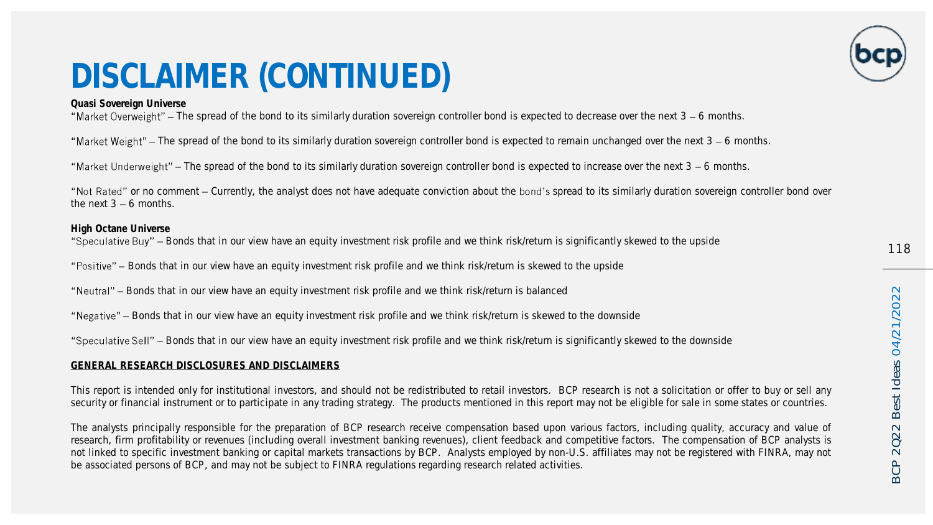### DISCLAIMER (CONTINUED)

Quasi Sovereign Universe

"Market Overweight" – The spread of the bond to its similarly duration sovereign controller bond is expected to decrease over the next  $3 - 6$  months.

"Market Weight" – The spread of the bond to its similarly duration sovereign controller bond is expected to remain unchanged over the next 3 – 6 months.

"Market Underweight" – The spread of the bond to its similarly duration sovereign controller bond is expected to increase over the next 3 – 6 months.

"Not Rated" or no comment – Currently, the analyst does not have adequate conviction about the bond's spread to its similarly duration sovereign controller bond over the next  $3 - 6$  months.

High Octane Universe "Speculative Buy" - Bonds that in our view have an equity investment risk profile and we think risk/return is significantly skewed to the upside

"Positive" - Bonds that in our view have an equity investment risk profile and we think risk/return is skewed to the upside

"Neutral" - Bonds that in our view have an equity investment risk profile and we think risk/return is balanced

"Negative" - Bonds that in our view have an equity investment risk profile and we think risk/return is skewed to the downside

"Speculative Sell" – Bonds that in our view have an equity investment risk profile and we think risk/return is significantly skewed to the downside

#### GENERAL RESEARCH DISCLOSURES AND DISCLAIMERS

This report is intended only for institutional investors, and should not be redistributed to retail investors. BCP research is not a solicitation or offer to buy or sell any security or financial instrument or to participate in any trading strategy. The products mentioned in this report may not be eligible for sale in some states or countries.

The analysts principally responsible for the preparation of BCP research receive compensation based upon various factors, including quality, accuracy and value of research, firm profitability or revenues (including overall investment banking revenues), client feedback and competitive factors. The compensation of BCP analysts is not linked to specific investment banking or capital markets transactions by BCP. Analysts employed by non-U.S. affiliates may not be registered with FINRA, may not be associated persons of BCP, and may not be subject to FINRA regulations regarding research related activities.

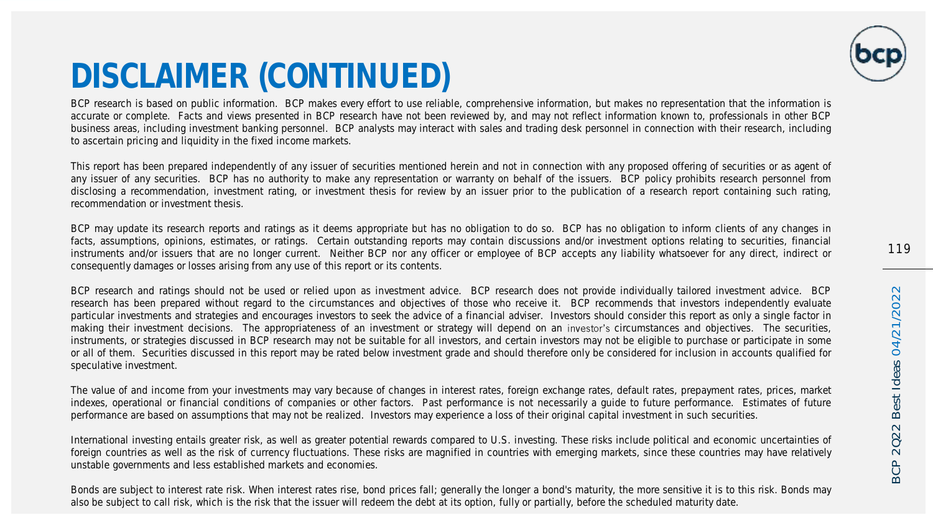

### DISCLAIMER (CONTINUED)

BCP research is based on public information. BCP makes every effort to use reliable, comprehensive information, but makes no representation that the information is accurate or complete. Facts and views presented in BCP research have not been reviewed by, and may not reflect information known to, professionals in other BCP business areas, including investment banking personnel. BCP analysts may interact with sales and trading desk personnel in connection with their research, including to ascertain pricing and liquidity in the fixed income markets.

This report has been prepared independently of any issuer of securities mentioned herein and not in connection with any proposed offering of securities or as agent of any issuer of any securities. BCP has no authority to make any representation or warranty on behalf of the issuers. BCP policy prohibits research personnel from disclosing a recommendation, investment rating, or investment thesis for review by an issuer prior to the publication of a research report containing such rating, recommendation or investment thesis.

BCP may update its research reports and ratings as it deems appropriate but has no obligation to do so. BCP has no obligation to inform clients of any changes in facts, assumptions, opinions, estimates, or ratings. Certain outstanding reports may contain discussions and/or investment options relating to securities, financial instruments and/or issuers that are no longer current. Neither BCP nor any officer or employee of BCP accepts any liability whatsoever for any direct, indirect or consequently damages or losses arising from any use of this report or its contents.

BCP research and ratings should not be used or relied upon as investment advice. BCP research does not provide individually tailored investment advice. BCP research has been prepared without regard to the circumstances and objectives of those who receive it. BCP recommends that investors independently evaluate particular investments and strategies and encourages investors to seek the advice of a financial adviser. Investors should consider this report as only a single factor in making their investment decisions. The appropriateness of an investment or strategy will depend on an investor's circumstances and objectives. The securities, instruments, or strategies discussed in BCP research may not be suitable for all investors, and certain investors may not be eligible to purchase or participate in some or all of them. Securities discussed in this report may be rated below investment grade and should therefore only be considered for inclusion in accounts qualified for speculative investment.

The value of and income from your investments may vary because of changes in interest rates, foreign exchange rates, default rates, prepayment rates, prices, market indexes, operational or financial conditions of companies or other factors. Past performance is not necessarily a guide to future performance. Estimates of future performance are based on assumptions that may not be realized. Investors may experience a loss of their original capital investment in such securities.

International investing entails greater risk, as well as greater potential rewards compared to U.S. investing. These risks include political and economic uncertainties of foreign countries as well as the risk of currency fluctuations. These risks are magnified in countries with emerging markets, since these countries may have relatively unstable governments and less established markets and economies.

Bonds are subject to interest rate risk. When interest rates rise, bond prices fall; generally the longer a bond's maturity, the more sensitive it is to this risk. Bonds may also be subject to call risk, which is the risk that the issuer will redeem the debt at its option, fully or partially, before the scheduled maturity date.

**BCP**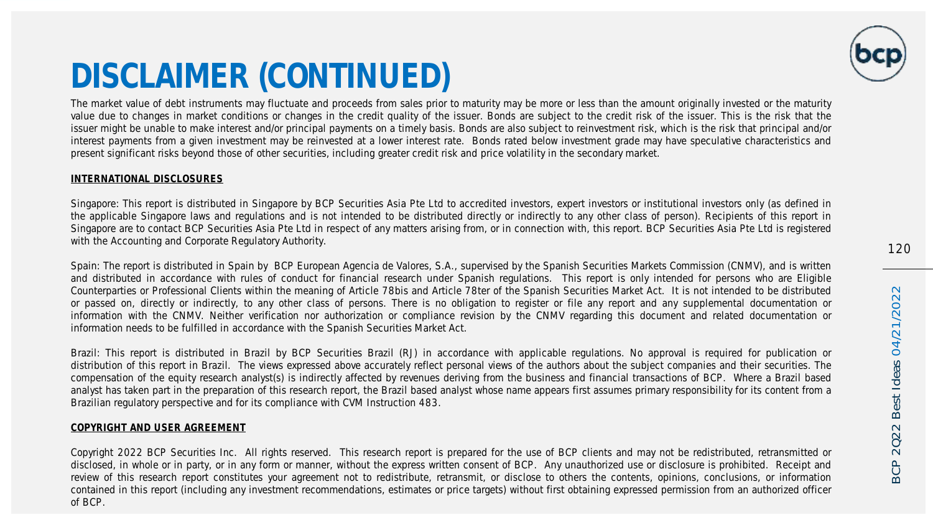

### DISCLAIMER (CONTINUED)

The market value of debt instruments may fluctuate and proceeds from sales prior to maturity may be more or less than the amount originally invested or the maturity value due to changes in market conditions or changes in the credit quality of the issuer. Bonds are subject to the credit risk of the issuer. This is the risk that the issuer might be unable to make interest and/or principal payments on a timely basis. Bonds are also subject to reinvestment risk, which is the risk that principal and/or interest payments from a given investment may be reinvested at a lower interest rate. Bonds rated below investment grade may have speculative characteristics and present significant risks beyond those of other securities, including greater credit risk and price volatility in the secondary market.

#### INTERNATIONAL DISCLOSURES

Singapore: This report is distributed in Singapore by BCP Securities Asia Pte Ltd to accredited investors, expert investors or institutional investors only (as defined in the applicable Singapore laws and regulations and is not intended to be distributed directly or indirectly to any other class of person). Recipients of this report in Singapore are to contact BCP Securities Asia Pte Ltd in respect of any matters arising from, or in connection with, this report. BCP Securities Asia Pte Ltd is registered with the Accounting and Corporate Regulatory Authority.

Spain: The report is distributed in Spain by BCP European Agencia de Valores, S.A., supervised by the Spanish Securities Markets Commission (CNMV), and is written and distributed in accordance with rules of conduct for financial research under Spanish regulations. This report is only intended for persons who are Eligible Counterparties or Professional Clients within the meaning of Article 78bis and Article 78ter of the Spanish Securities Market Act. It is not intended to be distributed or passed on, directly or indirectly, to any other class of persons. There is no obligation to register or file any report and any supplemental documentation or information with the CNMV. Neither verification nor authorization or compliance revision by the CNMV regarding this document and related documentation or information needs to be fulfilled in accordance with the Spanish Securities Market Act.

Brazil: This report is distributed in Brazil by BCP Securities Brazil (RJ) in accordance with applicable regulations. No approval is required for publication or distribution of this report in Brazil. The views expressed above accurately reflect personal views of the authors about the subject companies and their securities. The compensation of the equity research analyst(s) is indirectly affected by revenues deriving from the business and financial transactions of BCP. Where a Brazil based analyst has taken part in the preparation of this research report, the Brazil based analyst whose name appears first assumes primary responsibility for its content from a Brazilian regulatory perspective and for its compliance with CVM Instruction 483.

#### COPYRIGHT AND USER AGREEMENT

Copyright 2022 BCP Securities Inc. All rights reserved. This research report is prepared for the use of BCP clients and may not be redistributed, retransmitted or disclosed, in whole or in party, or in any form or manner, without the express written consent of BCP. Any unauthorized use or disclosure is prohibited. Receipt and review of this research report constitutes your agreement not to redistribute, retransmit, or disclose to others the contents, opinions, conclusions, or information contained in this report (including any investment recommendations, estimates or price targets) without first obtaining expressed permission from an authorized officer of BCP.